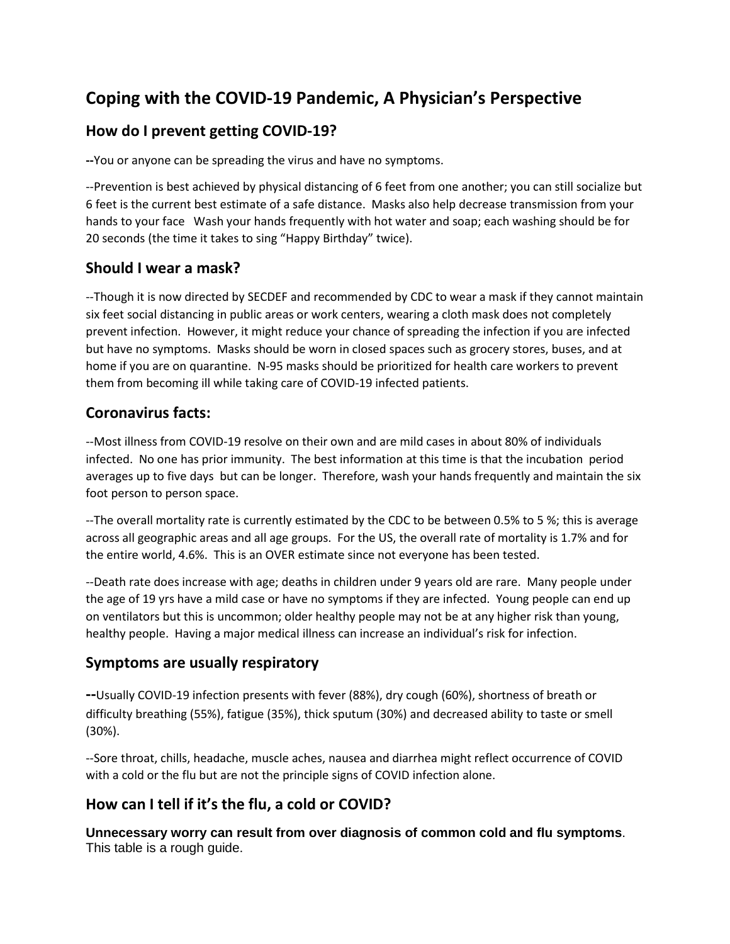### **Coping with the COVID-19 Pandemic, A Physician's Perspective**

#### **How do I prevent getting COVID-19?**

**--**You or anyone can be spreading the virus and have no symptoms.

--Prevention is best achieved by physical distancing of 6 feet from one another; you can still socialize but 6 feet is the current best estimate of a safe distance. Masks also help decrease transmission from your hands to your face Wash your hands frequently with hot water and soap; each washing should be for 20 seconds (the time it takes to sing "Happy Birthday" twice).

#### **Should I wear a mask?**

--Though it is now directed by SECDEF and recommended by CDC to wear a mask if they cannot maintain six feet social distancing in public areas or work centers, wearing a cloth mask does not completely prevent infection. However, it might reduce your chance of spreading the infection if you are infected but have no symptoms. Masks should be worn in closed spaces such as grocery stores, buses, and at home if you are on quarantine. N-95 masks should be prioritized for health care workers to prevent them from becoming ill while taking care of COVID-19 infected patients.

#### **Coronavirus facts:**

--Most illness from COVID-19 resolve on their own and are mild cases in about 80% of individuals infected. No one has prior immunity. The best information at this time is that the incubation period averages up to five days but can be longer. Therefore, wash your hands frequently and maintain the six foot person to person space.

--The overall mortality rate is currently estimated by the CDC to be between 0.5% to 5 %; this is average across all geographic areas and all age groups. For the US, the overall rate of mortality is 1.7% and for the entire world, 4.6%. This is an OVER estimate since not everyone has been tested.

--Death rate does increase with age; deaths in children under 9 years old are rare. Many people under the age of 19 yrs have a mild case or have no symptoms if they are infected. Young people can end up on ventilators but this is uncommon; older healthy people may not be at any higher risk than young, healthy people. Having a major medical illness can increase an individual's risk for infection.

#### **Symptoms are usually respiratory**

**--**Usually COVID-19 infection presents with fever (88%), dry cough (60%), shortness of breath or difficulty breathing (55%), fatigue (35%), thick sputum (30%) and decreased ability to taste or smell (30%).

--Sore throat, chills, headache, muscle aches, nausea and diarrhea might reflect occurrence of COVID with a cold or the flu but are not the principle signs of COVID infection alone.

#### **How can I tell if it's the flu, a cold or COVID?**

**Unnecessary worry can result from over diagnosis of common cold and flu symptoms**. This table is a rough guide.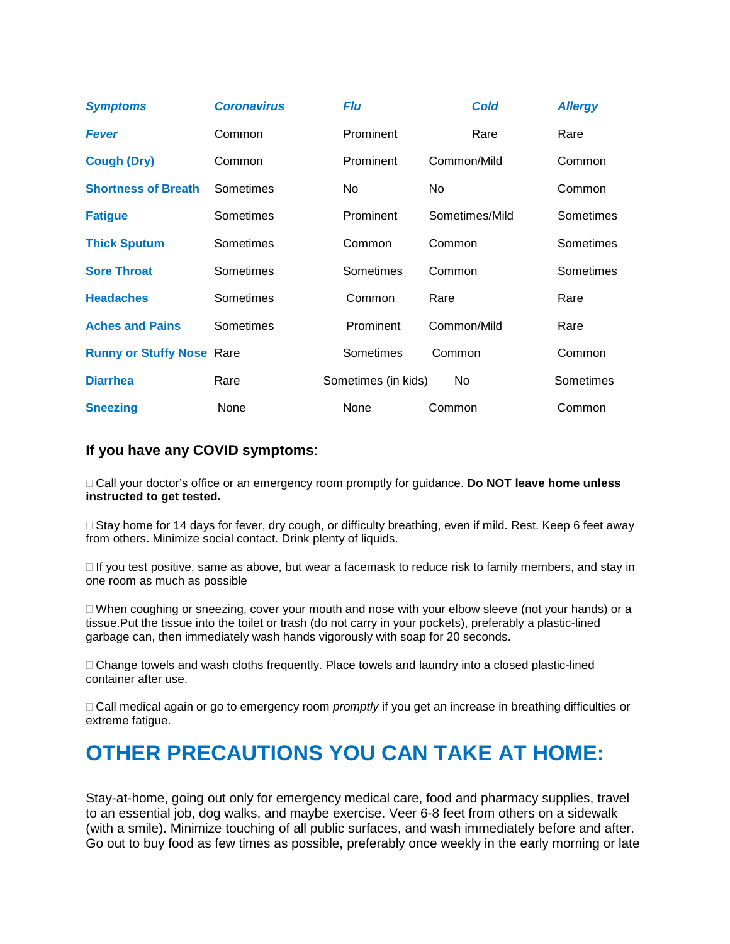| <b>Symptoms</b>                  | <b>Coronavirus</b> | <b>Flu</b>          | <b>Cold</b>    | <b>Allergy</b> |
|----------------------------------|--------------------|---------------------|----------------|----------------|
| <b>Fever</b>                     | Common             | Prominent           | Rare           | Rare           |
| <b>Cough (Dry)</b>               | Common             | Prominent           | Common/Mild    | Common         |
| <b>Shortness of Breath</b>       | Sometimes          | No.                 | No.            | Common         |
| <b>Fatigue</b>                   | Sometimes          | Prominent           | Sometimes/Mild | Sometimes      |
| <b>Thick Sputum</b>              | Sometimes          | Common              | Common         | Sometimes      |
| <b>Sore Throat</b>               | Sometimes          | Sometimes           | Common         | Sometimes      |
| <b>Headaches</b>                 | Sometimes          | Common              | Rare           | Rare           |
| <b>Aches and Pains</b>           | Sometimes          | Prominent           | Common/Mild    | Rare           |
| <b>Runny or Stuffy Nose Rare</b> |                    | Sometimes           | Common         | Common         |
| <b>Diarrhea</b>                  | Rare               | Sometimes (in kids) | No.            | Sometimes      |
| <b>Sneezing</b>                  | None               | None                | Common         | Common         |

#### **If you have any COVID symptoms**:

□ Call your doctor's office or an emergency room promptly for guidance. **Do NOT leave home unless instructed to get tested.**

 $\Box$  Stay home for 14 days for fever, dry cough, or difficulty breathing, even if mild. Rest. Keep 6 feet away from others. Minimize social contact. Drink plenty of liquids.

 $\Box$  If you test positive, same as above, but wear a facemask to reduce risk to family members, and stay in one room as much as possible

□ When coughing or sneezing, cover your mouth and nose with your elbow sleeve (not your hands) or a tissue.Put the tissue into the toilet or trash (do not carry in your pockets), preferably a plastic-lined garbage can, then immediately wash hands vigorously with soap for 20 seconds.

 $\Box$  Change towels and wash cloths frequently. Place towels and laundry into a closed plastic-lined container after use.

 Call medical again or go to emergency room *promptly* if you get an increase in breathing difficulties or extreme fatigue.

## **OTHER PRECAUTIONS YOU CAN TAKE AT HOME:**

Stay-at-home, going out only for emergency medical care, food and pharmacy supplies, travel to an essential job, dog walks, and maybe exercise. Veer 6-8 feet from others on a sidewalk (with a smile). Minimize touching of all public surfaces, and wash immediately before and after. Go out to buy food as few times as possible, preferably once weekly in the early morning or late